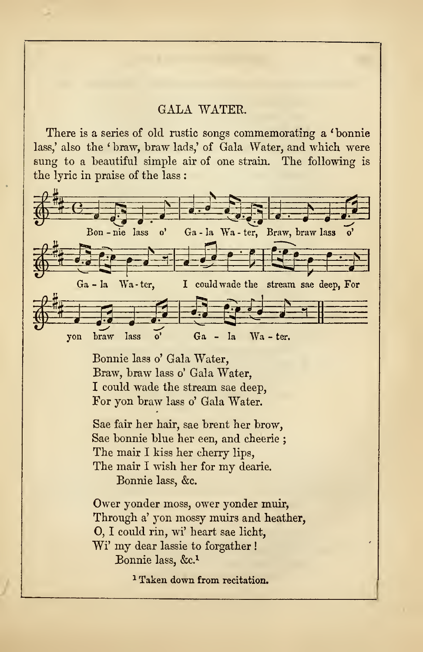## GALA WATER.

There is a series of old rustic songs commemorating a ' bonnie lass,' also the ' braw, braw lads,' of Gala Water, and which were sung to a beautiful simple air of one strain. The following is the lyric in praise of the lass :



Bonnie lass o' Gala Water, Braw, braw lass o' Gala Water, I could wade the stream sae deep, For yon braw lass o' Gala Water.

Sae fair her hair, sae brent her brow, Sae bonnie blue her een, and cheerie ; The mair <sup>I</sup> kiss her cherry lips, The mair <sup>I</sup> wish her for my dearie. Bonnie lass, &c.

Ower yonder moss, ower yonder muir, Through a' yon mossy muirs and heather, O, I could rin, wi' heart sae licht, Wi' my dear lassie to forgather ! Bonnie lass, &C.<sup>1</sup>

<sup>1</sup> Taken down from recitation.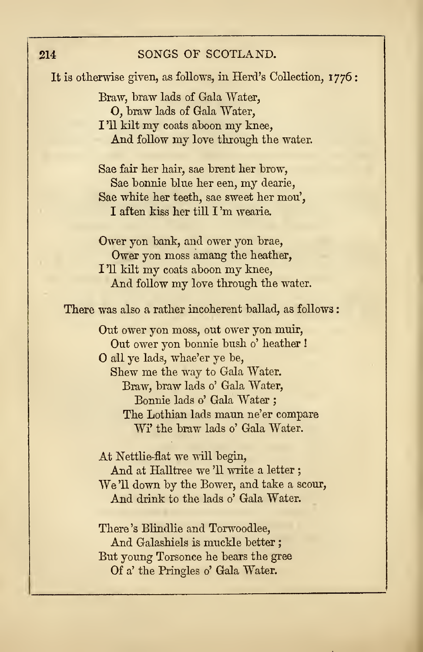It is otherwise given, as follows, in Herd's Collection, 1776 ; Braw, braw lads of Gala Water, O, braw lads of Gala Water, <sup>I</sup> '11 kilt my coats aboon my knee, And follow my love through the water. Sae fair her hair, sae brent her brow, Sae bonnie blue her een, my dearie, Sae white her teeth, sae sweet her mou', I aften kiss her till I 'm wearie. Ower yon bank, and ower yon brae, Ower yon moss amang the heather, <sup>I</sup> '11 kilt my coats aboon my knee, And follow my love through the water. There was also a rather incoherent ballad, as follows: Out ower yon moss, out ower yon muir, Out ower yon bonnie bush 0' heather ! all ye lads, whae'er ye be, Shew me the way to Gala Water. Braw, braw lads 0' Gala Water, Bonnie lads 0' Gala Water ; The Lothian lads maun ne'er compare Wi' the braw lads o' Gala Water. At Nettlie-fiat we will begin, And at Halltree we'll write a letter; We'11 down by the Bower, and take <sup>a</sup> scour, And drink to the lads o' Gala Water. There 's Blindlie and Torwoodlee, And Galashiels is muckle better ; But young Torsonce he bears the gree Of a' the Pringles o' Gala Water.